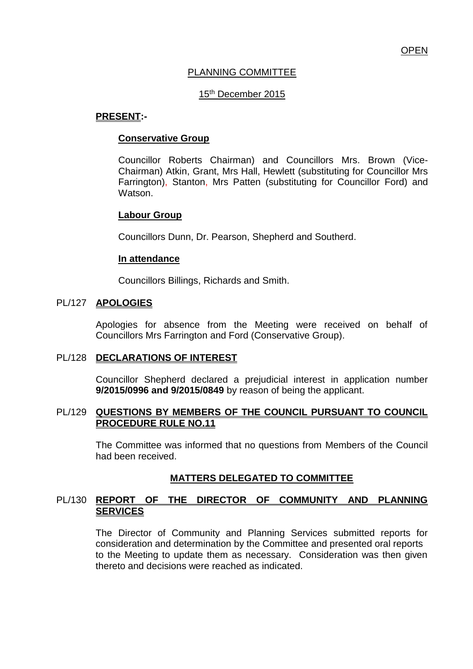# PLANNING COMMITTEE

# 15<sup>th</sup> December 2015

#### **PRESENT:-**

#### **Conservative Group**

Councillor Roberts Chairman) and Councillors Mrs. Brown (Vice-Chairman) Atkin, Grant, Mrs Hall, Hewlett (substituting for Councillor Mrs Farrington), Stanton, Mrs Patten (substituting for Councillor Ford) and Watson.

#### **Labour Group**

Councillors Dunn, Dr. Pearson, Shepherd and Southerd.

#### **In attendance**

Councillors Billings, Richards and Smith.

#### PL/127 **APOLOGIES**

Apologies for absence from the Meeting were received on behalf of Councillors Mrs Farrington and Ford (Conservative Group).

#### PL/128 **DECLARATIONS OF INTEREST**

Councillor Shepherd declared a prejudicial interest in application number **9/2015/0996 and 9/2015/0849** by reason of being the applicant.

#### PL/129 **QUESTIONS BY MEMBERS OF THE COUNCIL PURSUANT TO COUNCIL PROCEDURE RULE NO.11**

The Committee was informed that no questions from Members of the Council had been received.

# **MATTERS DELEGATED TO COMMITTEE**

# PL/130 **REPORT OF THE DIRECTOR OF COMMUNITY AND PLANNING SERVICES**

The Director of Community and Planning Services submitted reports for consideration and determination by the Committee and presented oral reports to the Meeting to update them as necessary. Consideration was then given thereto and decisions were reached as indicated.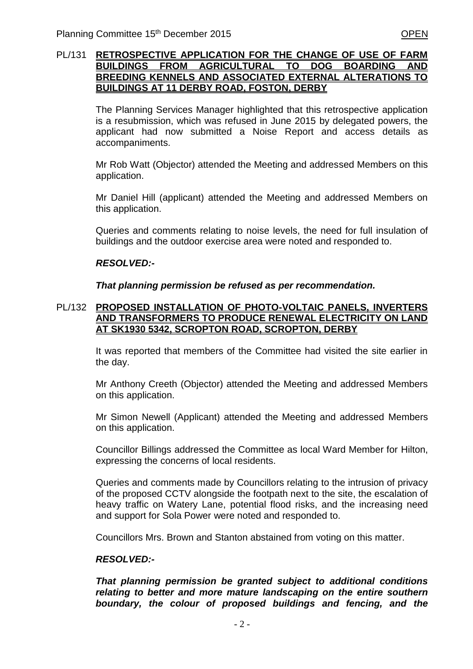# PL/131 **RETROSPECTIVE APPLICATION FOR THE CHANGE OF USE OF FARM BUILDINGS FROM AGRICULTURAL TO DOG BOARDING AND BREEDING KENNELS AND ASSOCIATED EXTERNAL ALTERATIONS TO BUILDINGS AT 11 DERBY ROAD, FOSTON, DERBY**

The Planning Services Manager highlighted that this retrospective application is a resubmission, which was refused in June 2015 by delegated powers, the applicant had now submitted a Noise Report and access details as accompaniments.

Mr Rob Watt (Objector) attended the Meeting and addressed Members on this application.

Mr Daniel Hill (applicant) attended the Meeting and addressed Members on this application.

Queries and comments relating to noise levels, the need for full insulation of buildings and the outdoor exercise area were noted and responded to.

# *RESOLVED:-*

*That planning permission be refused as per recommendation.*

# PL/132 **PROPOSED INSTALLATION OF PHOTO-VOLTAIC PANELS, INVERTERS AND TRANSFORMERS TO PRODUCE RENEWAL ELECTRICITY ON LAND AT SK1930 5342, SCROPTON ROAD, SCROPTON, DERBY**

It was reported that members of the Committee had visited the site earlier in the day.

Mr Anthony Creeth (Objector) attended the Meeting and addressed Members on this application.

Mr Simon Newell (Applicant) attended the Meeting and addressed Members on this application.

Councillor Billings addressed the Committee as local Ward Member for Hilton, expressing the concerns of local residents.

Queries and comments made by Councillors relating to the intrusion of privacy of the proposed CCTV alongside the footpath next to the site, the escalation of heavy traffic on Watery Lane, potential flood risks, and the increasing need and support for Sola Power were noted and responded to.

Councillors Mrs. Brown and Stanton abstained from voting on this matter.

# *RESOLVED:-*

*That planning permission be granted subject to additional conditions relating to better and more mature landscaping on the entire southern boundary, the colour of proposed buildings and fencing, and the*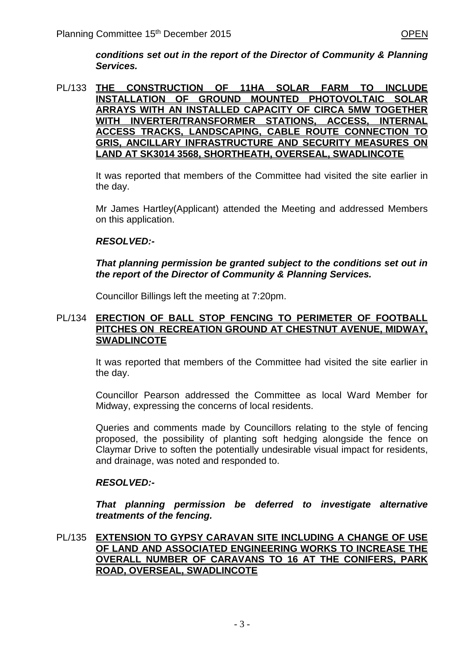*conditions set out in the report of the Director of Community & Planning Services.*

PL/133 **THE CONSTRUCTION OF 11HA SOLAR FARM TO INCLUDE INSTALLATION OF GROUND MOUNTED PHOTOVOLTAIC SOLAR ARRAYS WITH AN INSTALLED CAPACITY OF CIRCA 5MW TOGETHER WITH INVERTER/TRANSFORMER STATIONS, ACCESS, INTERNAL ACCESS TRACKS, LANDSCAPING, CABLE ROUTE CONNECTION TO GRIS, ANCILLARY INFRASTRUCTURE AND SECURITY MEASURES ON LAND AT SK3014 3568, SHORTHEATH, OVERSEAL, SWADLINCOTE**

> It was reported that members of the Committee had visited the site earlier in the day.

> Mr James Hartley(Applicant) attended the Meeting and addressed Members on this application.

# *RESOLVED:-*

# *That planning permission be granted subject to the conditions set out in the report of the Director of Community & Planning Services.*

Councillor Billings left the meeting at 7:20pm.

# PL/134 **ERECTION OF BALL STOP FENCING TO PERIMETER OF FOOTBALL PITCHES ON RECREATION GROUND AT CHESTNUT AVENUE, MIDWAY, SWADLINCOTE**

It was reported that members of the Committee had visited the site earlier in the day.

Councillor Pearson addressed the Committee as local Ward Member for Midway, expressing the concerns of local residents.

Queries and comments made by Councillors relating to the style of fencing proposed, the possibility of planting soft hedging alongside the fence on Claymar Drive to soften the potentially undesirable visual impact for residents, and drainage, was noted and responded to.

# *RESOLVED:-*

*That planning permission be deferred to investigate alternative treatments of the fencing.*

PL/135 **EXTENSION TO GYPSY CARAVAN SITE INCLUDING A CHANGE OF USE OF LAND AND ASSOCIATED ENGINEERING WORKS TO INCREASE THE OVERALL NUMBER OF CARAVANS TO 16 AT THE CONIFERS, PARK ROAD, OVERSEAL, SWADLINCOTE**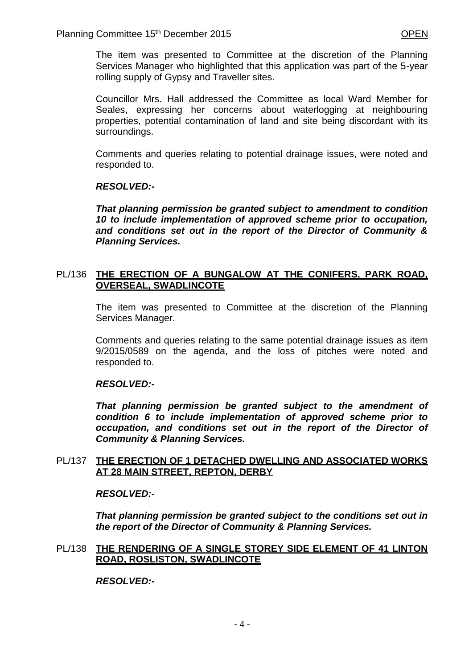The item was presented to Committee at the discretion of the Planning Services Manager who highlighted that this application was part of the 5-year rolling supply of Gypsy and Traveller sites.

Councillor Mrs. Hall addressed the Committee as local Ward Member for Seales, expressing her concerns about waterlogging at neighbouring properties, potential contamination of land and site being discordant with its surroundings.

Comments and queries relating to potential drainage issues, were noted and responded to.

#### *RESOLVED:-*

*That planning permission be granted subject to amendment to condition 10 to include implementation of approved scheme prior to occupation, and conditions set out in the report of the Director of Community & Planning Services.* 

# PL/136 **THE ERECTION OF A BUNGALOW AT THE CONIFERS, PARK ROAD, OVERSEAL, SWADLINCOTE**

The item was presented to Committee at the discretion of the Planning Services Manager.

Comments and queries relating to the same potential drainage issues as item 9/2015/0589 on the agenda, and the loss of pitches were noted and responded to.

#### *RESOLVED:-*

*That planning permission be granted subject to the amendment of condition 6 to include implementation of approved scheme prior to occupation, and conditions set out in the report of the Director of Community & Planning Services.*

#### PL/137 **THE ERECTION OF 1 DETACHED DWELLING AND ASSOCIATED WORKS AT 28 MAIN STREET, REPTON, DERBY**

#### *RESOLVED:-*

*That planning permission be granted subject to the conditions set out in the report of the Director of Community & Planning Services.* 

# PL/138 **THE RENDERING OF A SINGLE STOREY SIDE ELEMENT OF 41 LINTON ROAD, ROSLISTON, SWADLINCOTE**

# *RESOLVED:-*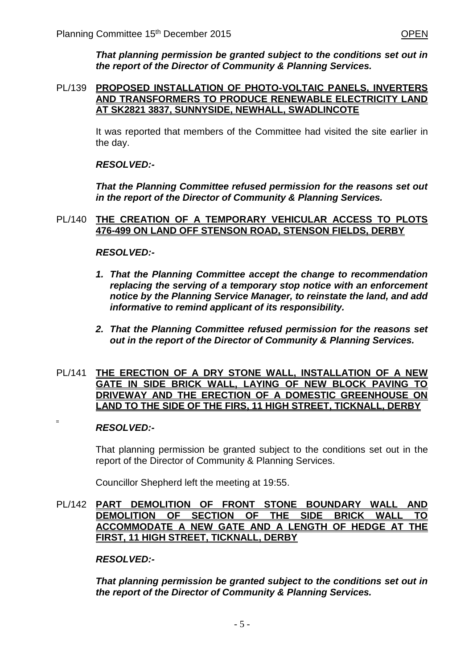*That planning permission be granted subject to the conditions set out in the report of the Director of Community & Planning Services.* 

# PL/139 **PROPOSED INSTALLATION OF PHOTO-VOLTAIC PANELS, INVERTERS AND TRANSFORMERS TO PRODUCE RENEWABLE ELECTRICITY LAND AT SK2821 3837, SUNNYSIDE, NEWHALL, SWADLINCOTE**

It was reported that members of the Committee had visited the site earlier in the day.

# *RESOLVED:-*

*That the Planning Committee refused permission for the reasons set out in the report of the Director of Community & Planning Services.*

#### PL/140 **THE CREATION OF A TEMPORARY VEHICULAR ACCESS TO PLOTS 476-499 ON LAND OFF STENSON ROAD, STENSON FIELDS, DERBY**

#### *RESOLVED:-*

- *1. That the Planning Committee accept the change to recommendation replacing the serving of a temporary stop notice with an enforcement notice by the Planning Service Manager, to reinstate the land, and add informative to remind applicant of its responsibility.*
- *2. That the Planning Committee refused permission for the reasons set out in the report of the Director of Community & Planning Services.*

#### PL/141 **THE ERECTION OF A DRY STONE WALL, INSTALLATION OF A NEW GATE IN SIDE BRICK WALL, LAYING OF NEW BLOCK PAVING TO DRIVEWAY AND THE ERECTION OF A DOMESTIC GREENHOUSE ON LAND TO THE SIDE OF THE FIRS, 11 HIGH STREET, TICKNALL, DERBY**

#### *RESOLVED:-*

That planning permission be granted subject to the conditions set out in the report of the Director of Community & Planning Services.

Councillor Shepherd left the meeting at 19:55.

#### PL/142 **PART DEMOLITION OF FRONT STONE BOUNDARY WALL AND DEMOLITION OF SECTION OF THE SIDE BRICK WALL TO ACCOMMODATE A NEW GATE AND A LENGTH OF HEDGE AT THE FIRST, 11 HIGH STREET, TICKNALL, DERBY**

*RESOLVED:-*

*That planning permission be granted subject to the conditions set out in the report of the Director of Community & Planning Services.*